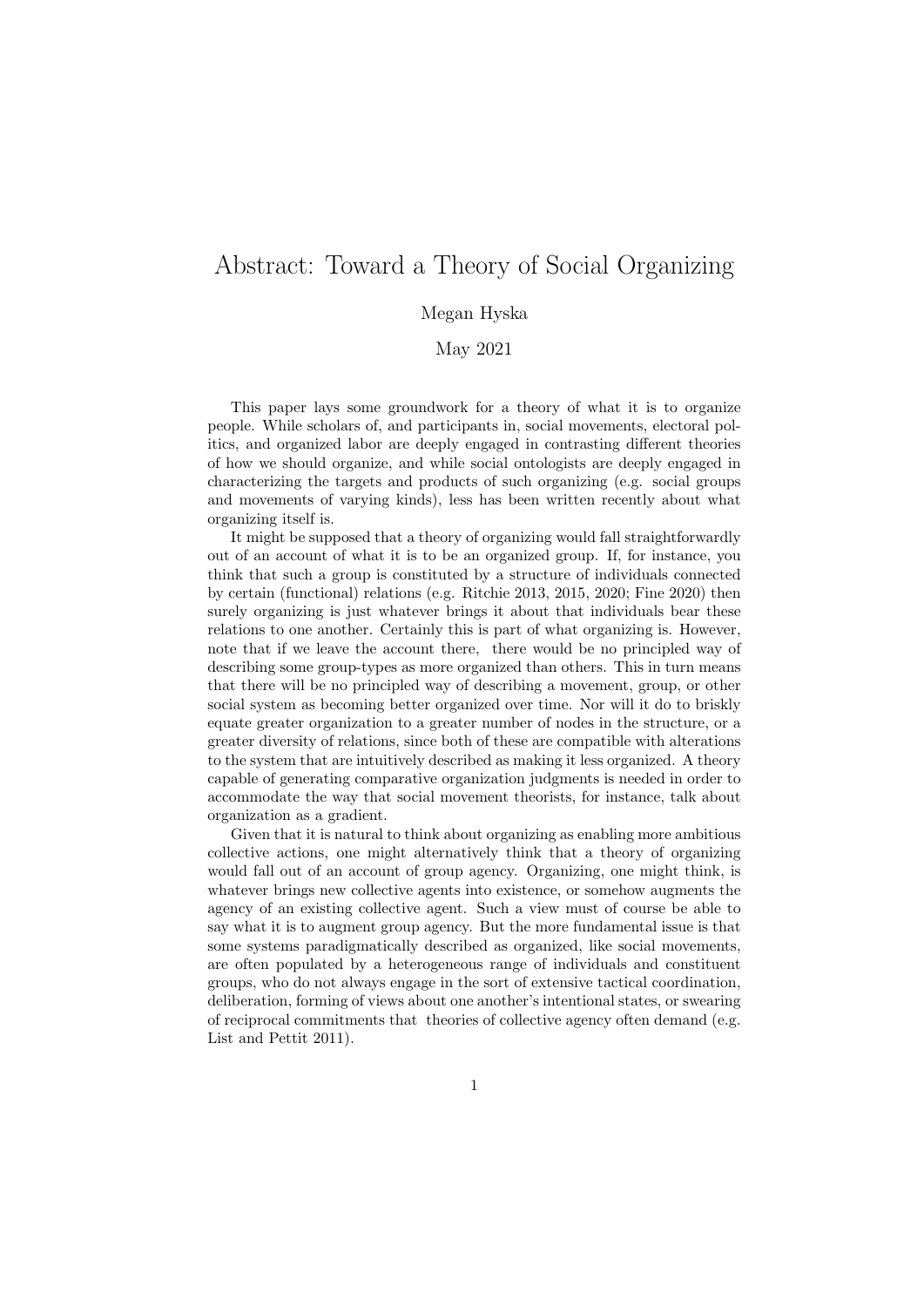## Abstract: Toward a Theory of Social Organizing

## Megan Hyska

May 2021

This paper lays some groundwork for a theory of what it is to organize people. While scholars of, and participants in, social movements, electoral politics, and organized labor are deeply engaged in contrasting different theories of how we should organize, and while social ontologists are deeply engaged in characterizing the targets and products of such organizing (e.g. social groups and movements of varying kinds), less has been written recently about what organizing itself is.

It might be supposed that a theory of organizing would fall straightforwardly out of an account of what it is to be an organized group. If, for instance, you think that such a group is constituted by a structure of individuals connected by certain (functional) relations (e.g. Ritchie 2013, 2015, 2020; Fine 2020) then surely organizing is just whatever brings it about that individuals bear these relations to one another. Certainly this is part of what organizing is. However, note that if we leave the account there, there would be no principled way of describing some group-types as more organized than others. This in turn means that there will be no principled way of describing a movement, group, or other social system as becoming better organized over time. Nor will it do to briskly equate greater organization to a greater number of nodes in the structure, or a greater diversity of relations, since both of these are compatible with alterations to the system that are intuitively described as making it less organized. A theory capable of generating comparative organization judgments is needed in order to accommodate the way that social movement theorists, for instance, talk about organization as a gradient.

Given that it is natural to think about organizing as enabling more ambitious collective actions, one might alternatively think that a theory of organizing would fall out of an account of group agency. Organizing, one might think, is whatever brings new collective agents into existence, or somehow augments the agency of an existing collective agent. Such a view must of course be able to say what it is to augment group agency. But the more fundamental issue is that some systems paradigmatically described as organized, like social movements, are often populated by a heterogeneous range of individuals and constituent groups, who do not always engage in the sort of extensive tactical coordination, deliberation, forming of views about one another's intentional states, or swearing of reciprocal commitments that theories of collective agency often demand (e.g. List and Pettit 2011).